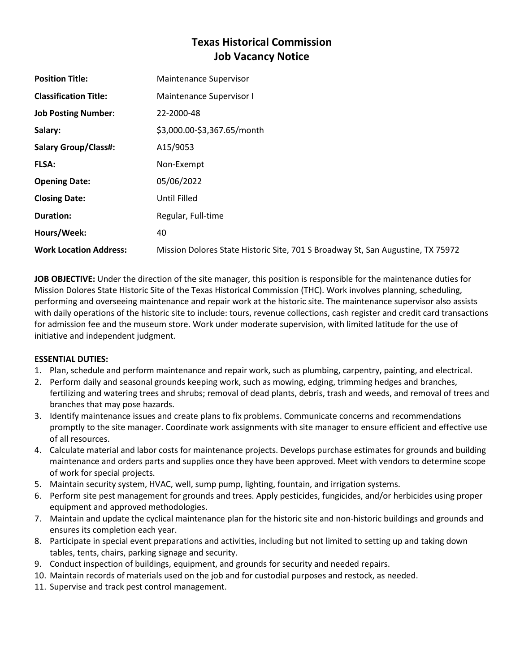# **Texas Historical Commission Job Vacancy Notice**

| <b>Position Title:</b>        | Maintenance Supervisor                                                          |
|-------------------------------|---------------------------------------------------------------------------------|
| <b>Classification Title:</b>  | Maintenance Supervisor I                                                        |
| <b>Job Posting Number:</b>    | 22-2000-48                                                                      |
| Salary:                       | \$3,000.00-\$3,367.65/month                                                     |
| <b>Salary Group/Class#:</b>   | A15/9053                                                                        |
| <b>FLSA:</b>                  | Non-Exempt                                                                      |
| <b>Opening Date:</b>          | 05/06/2022                                                                      |
| <b>Closing Date:</b>          | Until Filled                                                                    |
| <b>Duration:</b>              | Regular, Full-time                                                              |
| Hours/Week:                   | 40                                                                              |
| <b>Work Location Address:</b> | Mission Dolores State Historic Site, 701 S Broadway St, San Augustine, TX 75972 |

**JOB OBJECTIVE:** Under the direction of the site manager, this position is responsible for the maintenance duties for Mission Dolores State Historic Site of the Texas Historical Commission (THC). Work involves planning, scheduling, performing and overseeing maintenance and repair work at the historic site. The maintenance supervisor also assists with daily operations of the historic site to include: tours, revenue collections, cash register and credit card transactions for admission fee and the museum store. Work under moderate supervision, with limited latitude for the use of initiative and independent judgment.

## **ESSENTIAL DUTIES:**

- 1. Plan, schedule and perform maintenance and repair work, such as plumbing, carpentry, painting, and electrical.
- 2. Perform daily and seasonal grounds keeping work, such as mowing, edging, trimming hedges and branches, fertilizing and watering trees and shrubs; removal of dead plants, debris, trash and weeds, and removal of trees and branches that may pose hazards.
- 3. Identify maintenance issues and create plans to fix problems. Communicate concerns and recommendations promptly to the site manager. Coordinate work assignments with site manager to ensure efficient and effective use of all resources.
- 4. Calculate material and labor costs for maintenance projects. Develops purchase estimates for grounds and building maintenance and orders parts and supplies once they have been approved. Meet with vendors to determine scope of work for special projects.
- 5. Maintain security system, HVAC, well, sump pump, lighting, fountain, and irrigation systems.
- 6. Perform site pest management for grounds and trees. Apply pesticides, fungicides, and/or herbicides using proper equipment and approved methodologies.
- 7. Maintain and update the cyclical maintenance plan for the historic site and non-historic buildings and grounds and ensures its completion each year.
- 8. Participate in special event preparations and activities, including but not limited to setting up and taking down tables, tents, chairs, parking signage and security.
- 9. Conduct inspection of buildings, equipment, and grounds for security and needed repairs.
- 10. Maintain records of materials used on the job and for custodial purposes and restock, as needed.
- 11. Supervise and track pest control management.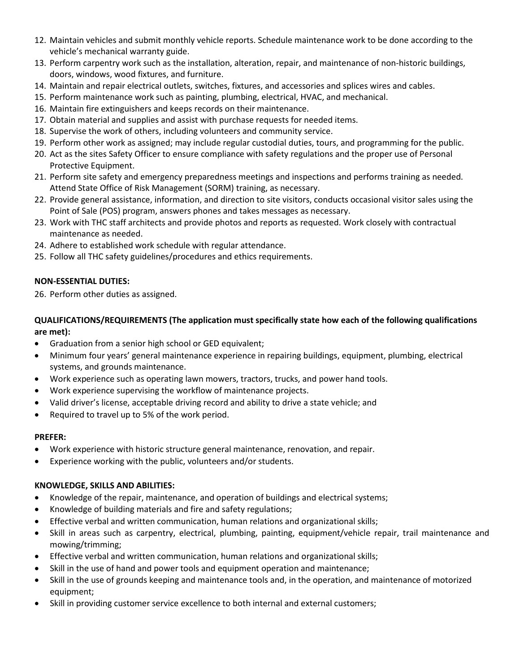- 12. Maintain vehicles and submit monthly vehicle reports. Schedule maintenance work to be done according to the vehicle's mechanical warranty guide.
- 13. Perform carpentry work such as the installation, alteration, repair, and maintenance of non-historic buildings, doors, windows, wood fixtures, and furniture.
- 14. Maintain and repair electrical outlets, switches, fixtures, and accessories and splices wires and cables.
- 15. Perform maintenance work such as painting, plumbing, electrical, HVAC, and mechanical.
- 16. Maintain fire extinguishers and keeps records on their maintenance.
- 17. Obtain material and supplies and assist with purchase requests for needed items.
- 18. Supervise the work of others, including volunteers and community service.
- 19. Perform other work as assigned; may include regular custodial duties, tours, and programming for the public.
- 20. Act as the sites Safety Officer to ensure compliance with safety regulations and the proper use of Personal Protective Equipment.
- 21. Perform site safety and emergency preparedness meetings and inspections and performs training as needed. Attend State Office of Risk Management (SORM) training, as necessary.
- 22. Provide general assistance, information, and direction to site visitors, conducts occasional visitor sales using the Point of Sale (POS) program, answers phones and takes messages as necessary.
- 23. Work with THC staff architects and provide photos and reports as requested. Work closely with contractual maintenance as needed.
- 24. Adhere to established work schedule with regular attendance.
- 25. Follow all THC safety guidelines/procedures and ethics requirements.

# **NON-ESSENTIAL DUTIES:**

26. Perform other duties as assigned.

## **QUALIFICATIONS/REQUIREMENTS (The application must specifically state how each of the following qualifications are met):**

- Graduation from a senior high school or GED equivalent;
- Minimum four years' general maintenance experience in repairing buildings, equipment, plumbing, electrical systems, and grounds maintenance.
- Work experience such as operating lawn mowers, tractors, trucks, and power hand tools.
- Work experience supervising the workflow of maintenance projects.
- Valid driver's license, acceptable driving record and ability to drive a state vehicle; and
- Required to travel up to 5% of the work period.

## **PREFER:**

- Work experience with historic structure general maintenance, renovation, and repair.
- Experience working with the public, volunteers and/or students.

## **KNOWLEDGE, SKILLS AND ABILITIES:**

- Knowledge of the repair, maintenance, and operation of buildings and electrical systems;
- Knowledge of building materials and fire and safety regulations;
- Effective verbal and written communication, human relations and organizational skills;
- Skill in areas such as carpentry, electrical, plumbing, painting, equipment/vehicle repair, trail maintenance and mowing/trimming;
- Effective verbal and written communication, human relations and organizational skills;
- Skill in the use of hand and power tools and equipment operation and maintenance;
- Skill in the use of grounds keeping and maintenance tools and, in the operation, and maintenance of motorized equipment;
- Skill in providing customer service excellence to both internal and external customers;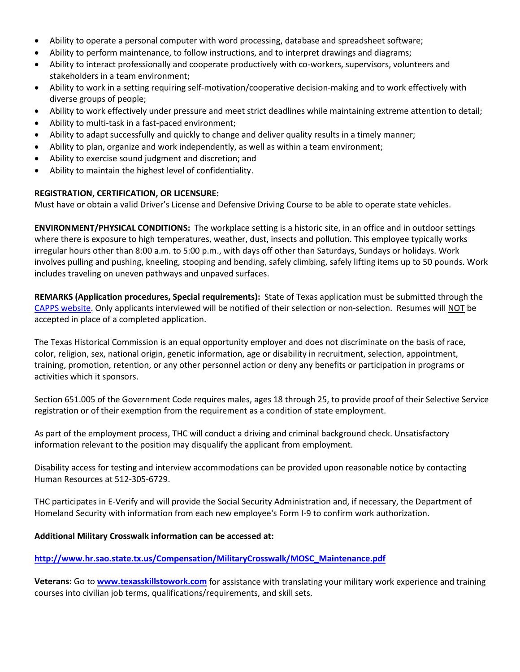- Ability to operate a personal computer with word processing, database and spreadsheet software;
- Ability to perform maintenance, to follow instructions, and to interpret drawings and diagrams;
- Ability to interact professionally and cooperate productively with co-workers, supervisors, volunteers and stakeholders in a team environment;
- Ability to work in a setting requiring self-motivation/cooperative decision-making and to work effectively with diverse groups of people;
- Ability to work effectively under pressure and meet strict deadlines while maintaining extreme attention to detail;
- Ability to multi-task in a fast-paced environment;
- Ability to adapt successfully and quickly to change and deliver quality results in a timely manner;
- Ability to plan, organize and work independently, as well as within a team environment;
- Ability to exercise sound judgment and discretion; and
- Ability to maintain the highest level of confidentiality.

#### **REGISTRATION, CERTIFICATION, OR LICENSURE:**

Must have or obtain a valid Driver's License and Defensive Driving Course to be able to operate state vehicles.

**ENVIRONMENT/PHYSICAL CONDITIONS:** The workplace setting is a historic site, in an office and in outdoor settings where there is exposure to high temperatures, weather, dust, insects and pollution. This employee typically works irregular hours other than 8:00 a.m. to 5:00 p.m., with days off other than Saturdays, Sundays or holidays. Work involves pulling and pushing, kneeling, stooping and bending, safely climbing, safely lifting items up to 50 pounds. Work includes traveling on uneven pathways and unpaved surfaces.

**REMARKS (Application procedures, Special requirements):** State of Texas application must be submitted through the [CAPPS website.](https://capps.taleo.net/careersection/808/jobsearch.ftl?lang=en) Only applicants interviewed will be notified of their selection or non-selection. Resumes will NOT be accepted in place of a completed application.

The Texas Historical Commission is an equal opportunity employer and does not discriminate on the basis of race, color, religion, sex, national origin, genetic information, age or disability in recruitment, selection, appointment, training, promotion, retention, or any other personnel action or deny any benefits or participation in programs or activities which it sponsors.

Section 651.005 of the Government Code requires males, ages 18 through 25, to provide proof of their Selective Service registration or of their exemption from the requirement as a condition of state employment.

As part of the employment process, THC will conduct a driving and criminal background check. Unsatisfactory information relevant to the position may disqualify the applicant from employment.

Disability access for testing and interview accommodations can be provided upon reasonable notice by contacting Human Resources at 512-305-6729.

THC participates in E-Verify and will provide the Social Security Administration and, if necessary, the Department of Homeland Security with information from each new employee's Form I-9 to confirm work authorization.

#### **Additional Military Crosswalk information can be accessed at:**

#### **[http://www.hr.sao.state.tx.us/Compensation/MilitaryCrosswalk/MOSC\\_Maintenance.pdf](http://www.hr.sao.state.tx.us/Compensation/MilitaryCrosswalk/MOSC_Maintenance.pdf)**

**Veterans:** Go to **[www.texasskillstowork.com](http://www.texasskillstowork.com/)** for assistance with translating your military work experience and training courses into civilian job terms, qualifications/requirements, and skill sets.